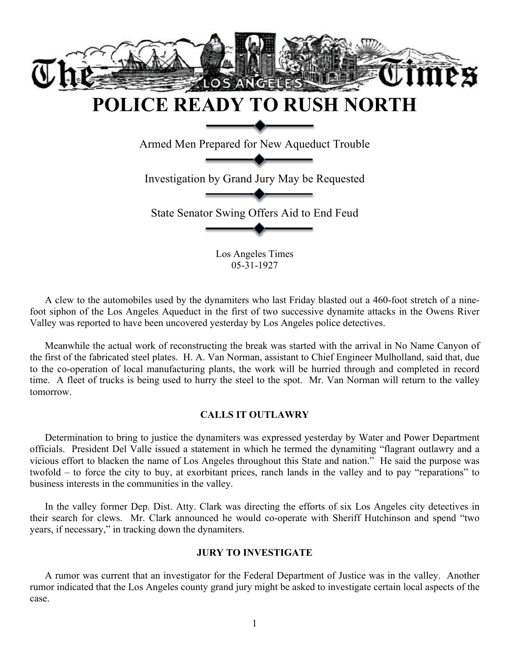

A clew to the automobiles used by the dynamiters who last Friday blasted out a 460-foot stretch of a ninefoot siphon of the Los Angeles Aqueduct in the first of two successive dynamite attacks in the Owens River Valley was reported to have been uncovered yesterday by Los Angeles police detectives.

Meanwhile the actual work of reconstructing the break was started with the arrival in No Name Canyon of the first of the fabricated steel plates. H. A. Van Norman, assistant to Chief Engineer Mulholland, said that, due to the co-operation of local manufacturing plants, the work will be hurried through and completed in record time. A fleet of trucks is being used to hurry the steel to the spot. Mr. Van Norman will return to the valley tomorrow.

# **CALLS IT OUTLAWRY**

Determination to bring to justice the dynamiters was expressed yesterday by Water and Power Department officials. President Del Valle issued a statement in which he termed the dynamiting "flagrant outlawry and a vicious effort to blacken the name of Los Angeles throughout this State and nation." He said the purpose was twofold – to force the city to buy, at exorbitant prices, ranch lands in the valley and to pay "reparations" to business interests in the communities in the valley.

In the valley former Dep. Dist. Atty. Clark was directing the efforts of six Los Angeles city detectives in their search for clews. Mr. Clark announced he would co-operate with Sheriff Hutchinson and spend "two years, if necessary," in tracking down the dynamiters.

#### **JURY TO INVESTIGATE**

A rumor was current that an investigator for the Federal Department of Justice was in the valley. Another rumor indicated that the Los Angeles county grand jury might be asked to investigate certain local aspects of the case.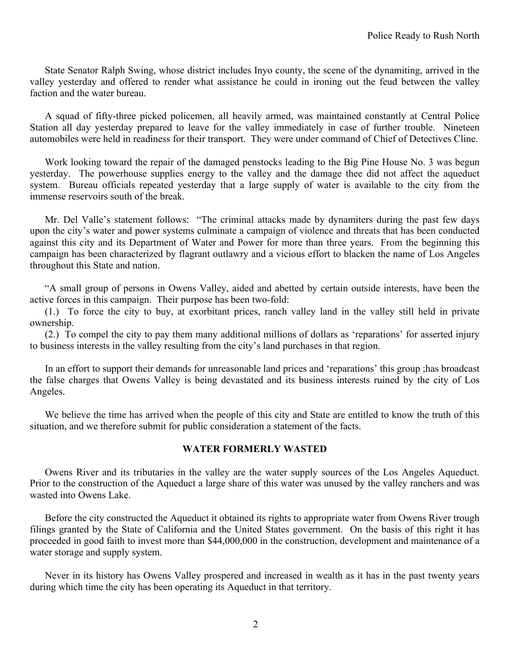State Senator Ralph Swing, whose district includes Inyo county, the scene of the dynamiting, arrived in the valley yesterday and offered to render what assistance he could in ironing out the feud between the valley faction and the water bureau.

A squad of fifty-three picked policemen, all heavily armed, was maintained constantly at Central Police Station all day yesterday prepared to leave for the valley immediately in case of further trouble. Nineteen automobiles were held in readiness for their transport. They were under command of Chief of Detectives Cline.

Work looking toward the repair of the damaged penstocks leading to the Big Pine House No. 3 was begun yesterday. The powerhouse supplies energy to the valley and the damage thee did not affect the aqueduct system. Bureau officials repeated yesterday that a large supply of water is available to the city from the immense reservoirs south of the break.

Mr. Del Valle's statement follows: "The criminal attacks made by dynamiters during the past few days upon the city's water and power systems culminate a campaign of violence and threats that has been conducted against this city and its Department of Water and Power for more than three years. From the beginning this campaign has been characterized by flagrant outlawry and a vicious effort to blacken the name of Los Angeles throughout this State and nation.

"A small group of persons in Owens Valley, aided and abetted by certain outside interests, have been the active forces in this campaign. Their purpose has been two-fold:

(1.) To force the city to buy, at exorbitant prices, ranch valley land in the valley still held in private ownership.

(2.) To compel the city to pay them many additional millions of dollars as 'reparations' for asserted injury to business interests in the valley resulting from the city's land purchases in that region.

In an effort to support their demands for unreasonable land prices and 'reparations' this group ;has broadcast the false charges that Owens Valley is being devastated and its business interests ruined by the city of Los Angeles.

We believe the time has arrived when the people of this city and State are entitled to know the truth of this situation, and we therefore submit for public consideration a statement of the facts.

# **WATER FORMERLY WASTED**

Owens River and its tributaries in the valley are the water supply sources of the Los Angeles Aqueduct. Prior to the construction of the Aqueduct a large share of this water was unused by the valley ranchers and was wasted into Owens Lake.

Before the city constructed the Aqueduct it obtained its rights to appropriate water from Owens River trough filings granted by the State of California and the United States government. On the basis of this right it has proceeded in good faith to invest more than \$44,000,000 in the construction, development and maintenance of a water storage and supply system.

Never in its history has Owens Valley prospered and increased in wealth as it has in the past twenty years during which time the city has been operating its Aqueduct in that territory.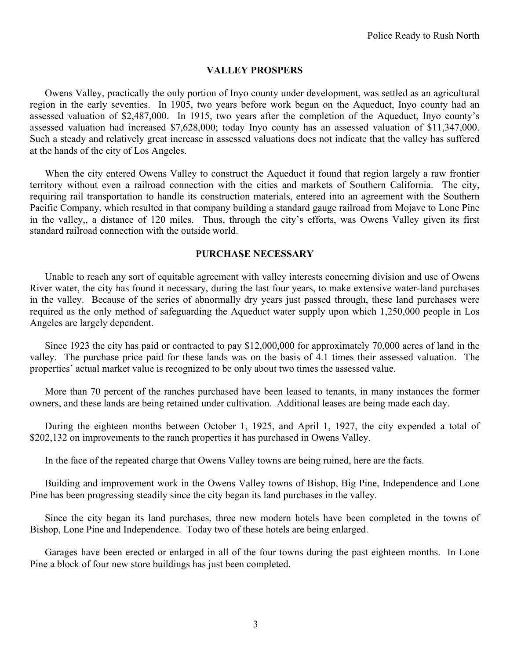# **VALLEY PROSPERS**

Owens Valley, practically the only portion of Inyo county under development, was settled as an agricultural region in the early seventies. In 1905, two years before work began on the Aqueduct, Inyo county had an assessed valuation of \$2,487,000. In 1915, two years after the completion of the Aqueduct, Inyo county's assessed valuation had increased \$7,628,000; today Inyo county has an assessed valuation of \$11,347,000. Such a steady and relatively great increase in assessed valuations does not indicate that the valley has suffered at the hands of the city of Los Angeles.

When the city entered Owens Valley to construct the Aqueduct it found that region largely a raw frontier territory without even a railroad connection with the cities and markets of Southern California. The city, requiring rail transportation to handle its construction materials, entered into an agreement with the Southern Pacific Company, which resulted in that company building a standard gauge railroad from Mojave to Lone Pine in the valley,, a distance of 120 miles. Thus, through the city's efforts, was Owens Valley given its first standard railroad connection with the outside world.

# **PURCHASE NECESSARY**

Unable to reach any sort of equitable agreement with valley interests concerning division and use of Owens River water, the city has found it necessary, during the last four years, to make extensive water-land purchases in the valley. Because of the series of abnormally dry years just passed through, these land purchases were required as the only method of safeguarding the Aqueduct water supply upon which 1,250,000 people in Los Angeles are largely dependent.

Since 1923 the city has paid or contracted to pay \$12,000,000 for approximately 70,000 acres of land in the valley. The purchase price paid for these lands was on the basis of 4.1 times their assessed valuation. The properties' actual market value is recognized to be only about two times the assessed value.

More than 70 percent of the ranches purchased have been leased to tenants, in many instances the former owners, and these lands are being retained under cultivation. Additional leases are being made each day.

During the eighteen months between October 1, 1925, and April 1, 1927, the city expended a total of \$202,132 on improvements to the ranch properties it has purchased in Owens Valley.

In the face of the repeated charge that Owens Valley towns are being ruined, here are the facts.

Building and improvement work in the Owens Valley towns of Bishop, Big Pine, Independence and Lone Pine has been progressing steadily since the city began its land purchases in the valley.

Since the city began its land purchases, three new modern hotels have been completed in the towns of Bishop, Lone Pine and Independence. Today two of these hotels are being enlarged.

Garages have been erected or enlarged in all of the four towns during the past eighteen months. In Lone Pine a block of four new store buildings has just been completed.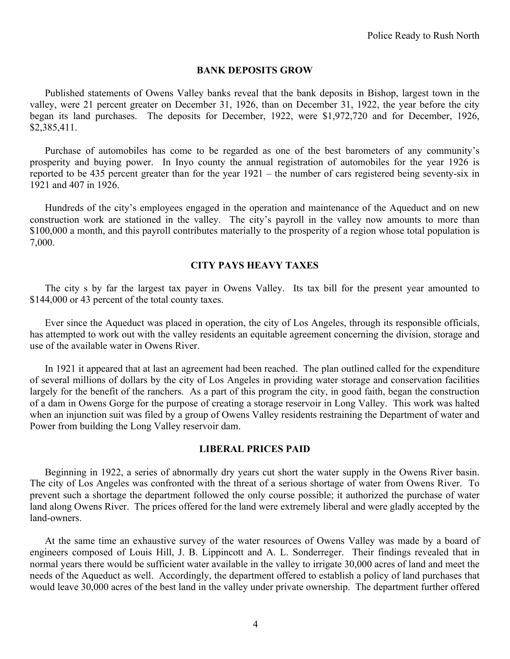#### **BANK DEPOSITS GROW**

Published statements of Owens Valley banks reveal that the bank deposits in Bishop, largest town in the valley, were 21 percent greater on December 31, 1926, than on December 31, 1922, the year before the city began its land purchases. The deposits for December, 1922, were \$1,972,720 and for December, 1926, \$2,385,411.

Purchase of automobiles has come to be regarded as one of the best barometers of any community's prosperity and buying power. In Inyo county the annual registration of automobiles for the year 1926 is reported to be 435 percent greater than for the year 1921 – the number of cars registered being seventy-six in 1921 and 407 in 1926.

Hundreds of the city's employees engaged in the operation and maintenance of the Aqueduct and on new construction work are stationed in the valley. The city's payroll in the valley now amounts to more than \$100,000 a month, and this payroll contributes materially to the prosperity of a region whose total population is 7,000.

# **CITY PAYS HEAVY TAXES**

The city s by far the largest tax payer in Owens Valley. Its tax bill for the present year amounted to \$144,000 or 43 percent of the total county taxes.

Ever since the Aqueduct was placed in operation, the city of Los Angeles, through its responsible officials, has attempted to work out with the valley residents an equitable agreement concerning the division, storage and use of the available water in Owens River.

In 1921 it appeared that at last an agreement had been reached. The plan outlined called for the expenditure of several millions of dollars by the city of Los Angeles in providing water storage and conservation facilities largely for the benefit of the ranchers. As a part of this program the city, in good faith, began the construction of a dam in Owens Gorge for the purpose of creating a storage reservoir in Long Valley. This work was halted when an injunction suit was filed by a group of Owens Valley residents restraining the Department of water and Power from building the Long Valley reservoir dam.

#### **LIBERAL PRICES PAID**

Beginning in 1922, a series of abnormally dry years cut short the water supply in the Owens River basin. The city of Los Angeles was confronted with the threat of a serious shortage of water from Owens River. To prevent such a shortage the department followed the only course possible; it authorized the purchase of water land along Owens River. The prices offered for the land were extremely liberal and were gladly accepted by the land-owners.

At the same time an exhaustive survey of the water resources of Owens Valley was made by a board of engineers composed of Louis Hill, J. B. Lippincott and A. L. Sonderreger. Their findings revealed that in normal years there would be sufficient water available in the valley to irrigate 30,000 acres of land and meet the needs of the Aqueduct as well. Accordingly, the department offered to establish a policy of land purchases that would leave 30,000 acres of the best land in the valley under private ownership. The department further offered